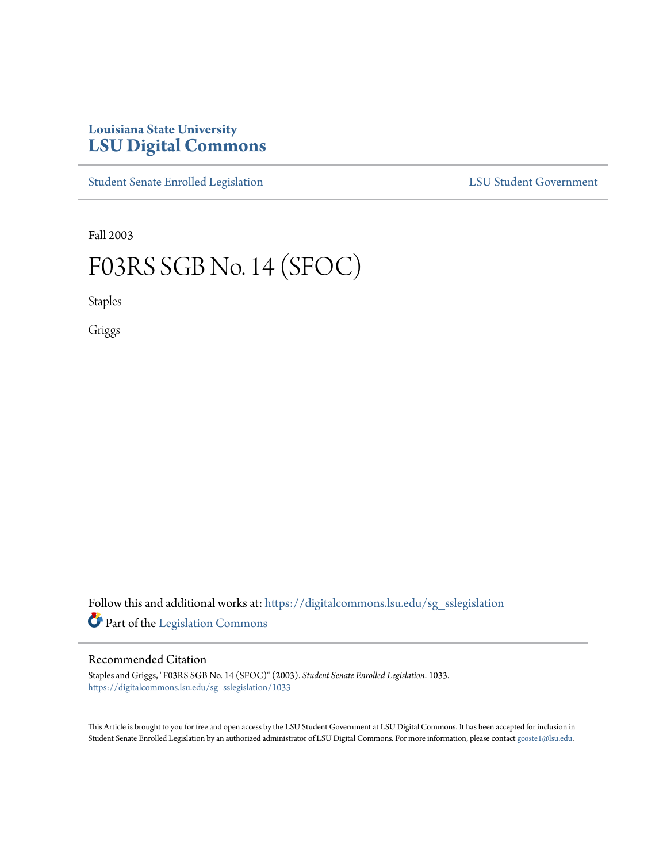## **Louisiana State University [LSU Digital Commons](https://digitalcommons.lsu.edu?utm_source=digitalcommons.lsu.edu%2Fsg_sslegislation%2F1033&utm_medium=PDF&utm_campaign=PDFCoverPages)**

[Student Senate Enrolled Legislation](https://digitalcommons.lsu.edu/sg_sslegislation?utm_source=digitalcommons.lsu.edu%2Fsg_sslegislation%2F1033&utm_medium=PDF&utm_campaign=PDFCoverPages) [LSU Student Government](https://digitalcommons.lsu.edu/sg?utm_source=digitalcommons.lsu.edu%2Fsg_sslegislation%2F1033&utm_medium=PDF&utm_campaign=PDFCoverPages)

Fall 2003

# F03RS SGB No. 14 (SFOC)

Staples

Griggs

Follow this and additional works at: [https://digitalcommons.lsu.edu/sg\\_sslegislation](https://digitalcommons.lsu.edu/sg_sslegislation?utm_source=digitalcommons.lsu.edu%2Fsg_sslegislation%2F1033&utm_medium=PDF&utm_campaign=PDFCoverPages) Part of the [Legislation Commons](http://network.bepress.com/hgg/discipline/859?utm_source=digitalcommons.lsu.edu%2Fsg_sslegislation%2F1033&utm_medium=PDF&utm_campaign=PDFCoverPages)

#### Recommended Citation

Staples and Griggs, "F03RS SGB No. 14 (SFOC)" (2003). *Student Senate Enrolled Legislation*. 1033. [https://digitalcommons.lsu.edu/sg\\_sslegislation/1033](https://digitalcommons.lsu.edu/sg_sslegislation/1033?utm_source=digitalcommons.lsu.edu%2Fsg_sslegislation%2F1033&utm_medium=PDF&utm_campaign=PDFCoverPages)

This Article is brought to you for free and open access by the LSU Student Government at LSU Digital Commons. It has been accepted for inclusion in Student Senate Enrolled Legislation by an authorized administrator of LSU Digital Commons. For more information, please contact [gcoste1@lsu.edu.](mailto:gcoste1@lsu.edu)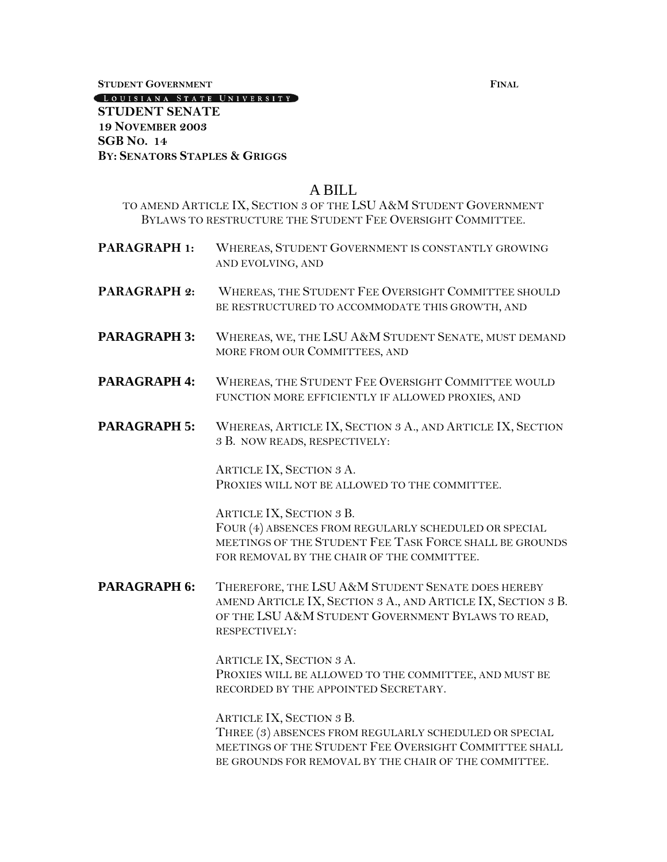**STUDENT GOVERNMENT FINAL**

LOUISIANA STATE UNIVERSITY

#### **STUDENT SENATE 19 NOVEMBER 2003 SGB NO. 14 BY: SENATORS STAPLES & GRIGGS**

### A BILL

- TO AMEND ARTICLE IX, SECTION 3 OF THE LSU A&M STUDENT GOVERNMENT BYLAWS TO RESTRUCTURE THE STUDENT FEE OVERSIGHT COMMITTEE.
- **PARAGRAPH 1:** WHEREAS, STUDENT GOVERNMENT IS CONSTANTLY GROWING AND EVOLVING, AND
- PARAGRAPH 2: WHEREAS, THE STUDENT FEE OVERSIGHT COMMITTEE SHOULD BE RESTRUCTURED TO ACCOMMODATE THIS GROWTH, AND
- PARAGRAPH 3: WHEREAS, WE, THE LSU A&M STUDENT SENATE, MUST DEMAND MORE FROM OUR COMMITTEES, AND
- **PARAGRAPH 4:** WHEREAS, THE STUDENT FEE OVERSIGHT COMMITTEE WOULD FUNCTION MORE EFFICIENTLY IF ALLOWED PROXIES, AND
- PARAGRAPH 5: WHEREAS, ARTICLE IX, SECTION 3 A., AND ARTICLE IX, SECTION 3 B. NOW READS, RESPECTIVELY:

ARTICLE IX, SECTION 3 A. PROXIES WILL NOT BE ALLOWED TO THE COMMITTEE.

ARTICLE IX, SECTION 3 B. FOUR (4) ABSENCES FROM REGULARLY SCHEDULED OR SPECIAL MEETINGS OF THE STUDENT FEE TASK FORCE SHALL BE GROUNDS FOR REMOVAL BY THE CHAIR OF THE COMMITTEE.

PARAGRAPH 6: THEREFORE, THE LSU A&M STUDENT SENATE DOES HEREBY AMEND ARTICLE IX, SECTION 3 A., AND ARTICLE IX, SECTION 3 B. OF THE LSU A&M STUDENT GOVERNMENT BYLAWS TO READ, RESPECTIVELY:

> ARTICLE IX, SECTION 3 A. PROXIES WILL BE ALLOWED TO THE COMMITTEE, AND MUST BE RECORDED BY THE APPOINTED SECRETARY.

ARTICLE IX, SECTION 3 B. THREE (3) ABSENCES FROM REGULARLY SCHEDULED OR SPECIAL MEETINGS OF THE STUDENT FEE OVERSIGHT COMMITTEE SHALL BE GROUNDS FOR REMOVAL BY THE CHAIR OF THE COMMITTEE.